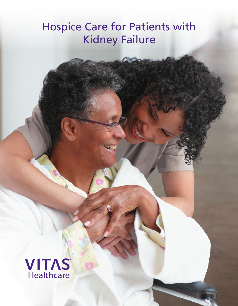# Hospice Care for Patients with Kidney Failure

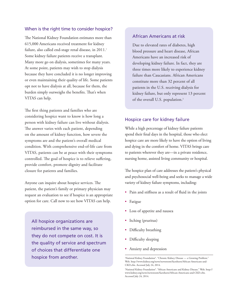#### When is the right time to consider hospice?

The National Kidney Foundation estimates more than 615,000 Americans received treatment for kidney failure, also called end-stage renal disease, in 2011.<sup>1</sup> Some kidney failure patients receive a transplant. Many more go on dialysis, sometimes for many years. At some point, patients may wish to stop dialysis because they have concluded it is no longer improving or even maintaining their quality of life. Some patients opt not to have dialysis at all, because for them, the burden simply outweighs the benefits. That's when VITAS can help.

The first thing patients and families who are considering hospice want to know is how long a person with kidney failure can live without dialysis. The answer varies with each patient, depending on the amount of kidney function, how severe the symptoms are and the patient's overall medical condition. With comprehensive end-of-life care from VITAS, patients can be at peace with their symptoms controlled. The goal of hospice is to relieve suffering, provide comfort, promote dignity and facilitate closure for patients and families.

Anyone can inquire about hospice services. The patient, the patient's family or primary physician may request an evaluation to see if hospice is an appropriate option for care. Call now to see how VITAS can help.

All hospice organizations are reimbursed in the same way, so they do not compete on cost. It is the quality of service and spectrum of choices that differentiate one hospice from another.

#### African Americans at risk

Due to elevated rates of diabetes, high blood pressure and heart disease, African Americans have an increased risk of developing kidney failure. In fact, they are three times more likely to experience kidney failure than Caucasians. African Americans constitute more than 32 percent of all patients in the U.S. receiving dialysis for kidney failure, but only represent 13 percent of the overall U.S. population.<sup>2</sup>

#### Hospice care for kidney failure

While a high percentage of kidney failure patients spend their final days in the hospital, those who elect hospice care are more likely to have the option of living and dying in the comfort of home. VITAS brings care to patients wherever they are—in a private residence, nursing home, assisted living community or hospital.

The hospice plan of care addresses the patient's physical and psychosocial well-being and seeks to manage a wide variety of kidney failure symptoms, including:

- Pain and stiffness as a result of fluid in the joints
- Fatigue
- Loss of appetite and nausea
- Itching (pruritus)
- Difficulty breathing
- Difficulty sleeping
- Anxiety and depression

<sup>&#</sup>x27;National Kidney Foundation<sup>®</sup>. "Chronic Kidney Disease — a Growing Problem." Web. http://www.kidney.org/news/newsroom/factsheets/African-Americans-and-CKD.cfm. Accessed July 24, 2014.

<sup>2</sup> National Kidney Foundation®. "African Americans and Kidney Disease." Web. http:// www.kidney.org/news/newsroom/factsheets/African-Americans-and-CKD.cfm. Accessed July 24, 2014.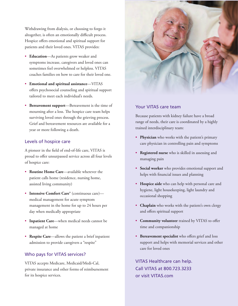Withdrawing from dialysis, or choosing to forgo it altogether, is often an emotionally difficult process. Hospice offers emotional and spiritual support for patients and their loved ones. VITAS provides:

- **Education**—As patients grow weaker and symptoms increase, caregivers and loved ones can sometimes feel overwhelmed or helpless. VITAS coaches families on how to care for their loved one.
- **Emotional and spiritual assistance**—VITAS offers psychosocial counseling and spiritual support tailored to meet each individual's needs.
- **Bereavement support**—Bereavement is the time of mourning after a loss. The hospice care team helps surviving loved ones through the grieving process. Grief and bereavement resources are available for a year or more following a death.

#### Levels of hospice care

A pioneer in the field of end-of-life care, VITAS is proud to offer unsurpassed service across all four levels of hospice care:

- **Routine Home Care**—available wherever the patient calls home (residence, nursing home, assisted living community)
- **Intensive Comfort Care®** (continuous care) medical management for acute symptom management in the home for up to 24 hours per day when medically appropriate
- **Inpatient Care**—when medical needs cannot be managed at home
- **Respite Care**—allows the patient a brief inpatient admission to provide caregivers a "respite"

### Who pays for VITAS services?

VITAS accepts Medicare, Medicaid/Medi-Cal, private insurance and other forms of reimbursement for its hospice services.



#### Your VITAS care team

Because patients with kidney failure have a broad range of needs, their care is coordinated by a highly trained interdisciplinary team:

- **Physician** who works with the patient's primary care physician in controlling pain and symptoms
- **Registered nurse** who is skilled in assessing and managing pain
- **Social worker** who provides emotional support and helps with financial issues and planning
- **Hospice aide** who can help with personal care and hygiene, light housekeeping, light laundry and occasional shopping
- **Chaplain** who works with the patient's own clergy and offers spiritual support
- **Community volunteer** trained by VITAS to offer time and companionship
- **Bereavement specialist** who offers grief and loss support and helps with memorial services and other care for loved ones

VITAS Healthcare can help. Call VITAS at 800.723.3233 or visit VITAS.com